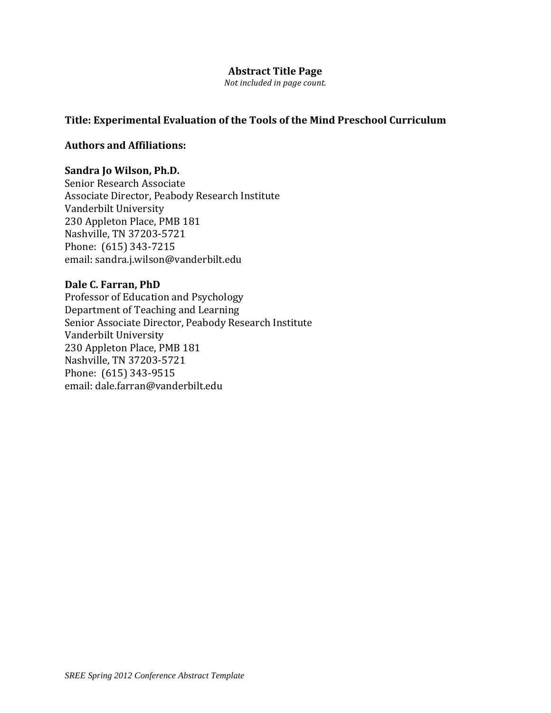#### **Abstract Title Page**

Not included in page count.

#### Title: Experimental Evaluation of the Tools of the Mind Preschool Curriculum

#### **Authors and Affiliations:**

#### Sandra Jo Wilson, Ph.D.

Senior Research Associate Associate Director, Peabody Research Institute Vanderbilt University 230 Appleton Place, PMB 181 Nashville, TN 37203-5721 Phone: (615) 343-7215 email: sandra.j.wilson@vanderbilt.edu

# Dale C. Farran, PhD

Professor of Education and Psychology Department of Teaching and Learning Senior Associate Director, Peabody Research Institute Vanderbilt University 230 Appleton Place, PMB 181 Nashville, TN 37203-5721 Phone: (615) 343-9515 email: dale.farran@vanderbilt.edu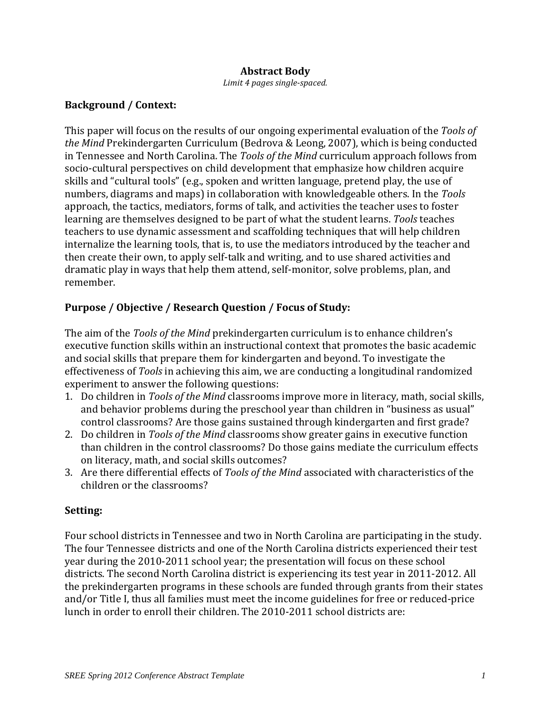#### **Abstract Body**

Limit 4 pages single-spaced.

#### **Background / Context:**

This paper will focus on the results of our ongoing experimental evaluation of the Tools of the Mind Prekindergarten Curriculum (Bedrova & Leong, 2007), which is being conducted in Tennessee and North Carolina. The Tools of the Mind curriculum approach follows from socio-cultural perspectives on child development that emphasize how children acquire skills and "cultural tools" (e.g., spoken and written language, pretend play, the use of numbers, diagrams and maps) in collaboration with knowledgeable others. In the Tools approach, the tactics, mediators, forms of talk, and activities the teacher uses to foster learning are themselves designed to be part of what the student learns. Tools teaches teachers to use dynamic assessment and scaffolding techniques that will help children internalize the learning tools, that is, to use the mediators introduced by the teacher and then create their own, to apply self-talk and writing, and to use shared activities and dramatic play in ways that help them attend, self-monitor, solve problems, plan, and remember.

# Purpose / Objective / Research Question / Focus of Study:

The aim of the Tools of the Mind prekindergarten curriculum is to enhance children's executive function skills within an instructional context that promotes the basic academic and social skills that prepare them for kindergarten and beyond. To investigate the effectiveness of Tools in achieving this aim, we are conducting a longitudinal randomized experiment to answer the following questions:

- 1. Do children in Tools of the Mind classrooms improve more in literacy, math, social skills, and behavior problems during the preschool year than children in "business as usual" control classrooms? Are those gains sustained through kindergarten and first grade?
- 2. Do children in Tools of the Mind classrooms show greater gains in executive function than children in the control classrooms? Do those gains mediate the curriculum effects on literacy, math, and social skills outcomes?
- 3. Are there differential effects of Tools of the Mind associated with characteristics of the children or the classrooms?

## Setting:

Four school districts in Tennessee and two in North Carolina are participating in the study. The four Tennessee districts and one of the North Carolina districts experienced their test year during the 2010-2011 school year; the presentation will focus on these school districts. The second North Carolina district is experiencing its test year in 2011-2012. All the prekindergarten programs in these schools are funded through grants from their states and/or Title I, thus all families must meet the income guidelines for free or reduced-price lunch in order to enroll their children. The 2010-2011 school districts are: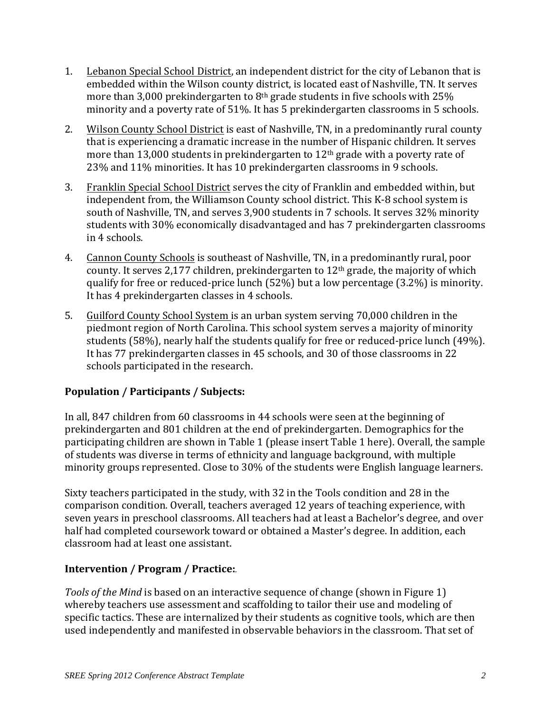- $1.$ Lebanon Special School District, an independent district for the city of Lebanon that is embedded within the Wilson county district, is located east of Nashville, TN. It serves more than 3,000 prekindergarten to  $8<sup>th</sup>$  grade students in five schools with 25% minority and a poverty rate of 51%. It has 5 prekindergarten classrooms in 5 schools.
- 2. Wilson County School District is east of Nashville, TN, in a predominantly rural county that is experiencing a dramatic increase in the number of Hispanic children. It serves more than 13,000 students in prekindergarten to  $12<sup>th</sup>$  grade with a poverty rate of 23% and 11% minorities. It has 10 prekindergarten classrooms in 9 schools.
- Franklin Special School District serves the city of Franklin and embedded within, but 3. independent from, the Williamson County school district. This K-8 school system is south of Nashville, TN, and serves 3,900 students in 7 schools. It serves 32% minority students with 30% economically disadvantaged and has 7 prekindergarten classrooms in 4 schools.
- Cannon County Schools is southeast of Nashville, TN, in a predominantly rural, poor 4. county. It serves 2,177 children, prekindergarten to  $12<sup>th</sup>$  grade, the majority of which qualify for free or reduced-price lunch  $(52\%)$  but a low percentage  $(3.2\%)$  is minority. It has 4 prekindergarten classes in 4 schools.
- Guilford County School System is an urban system serving 70,000 children in the 5. piedmont region of North Carolina. This school system serves a majority of minority students (58%), nearly half the students qualify for free or reduced-price lunch (49%). It has 77 prekindergarten classes in 45 schools, and 30 of those classrooms in 22 schools participated in the research.

# **Population / Participants / Subjects:**

In all, 847 children from 60 classrooms in 44 schools were seen at the beginning of prekindergarten and 801 children at the end of prekindergarten. Demographics for the participating children are shown in Table 1 (please insert Table 1 here). Overall, the sample of students was diverse in terms of ethnicity and language background, with multiple minority groups represented. Close to 30% of the students were English language learners.

Sixty teachers participated in the study, with 32 in the Tools condition and 28 in the comparison condition. Overall, teachers averaged 12 years of teaching experience. with seven years in preschool classrooms. All teachers had at least a Bachelor's degree, and over half had completed coursework toward or obtained a Master's degree. In addition, each classroom had at least one assistant.

# **Intervention / Program / Practice:**

Tools of the Mind is based on an interactive sequence of change (shown in Figure 1) whereby teachers use assessment and scaffolding to tailor their use and modeling of specific tactics. These are internalized by their students as cognitive tools, which are then used independently and manifested in observable behaviors in the classroom. That set of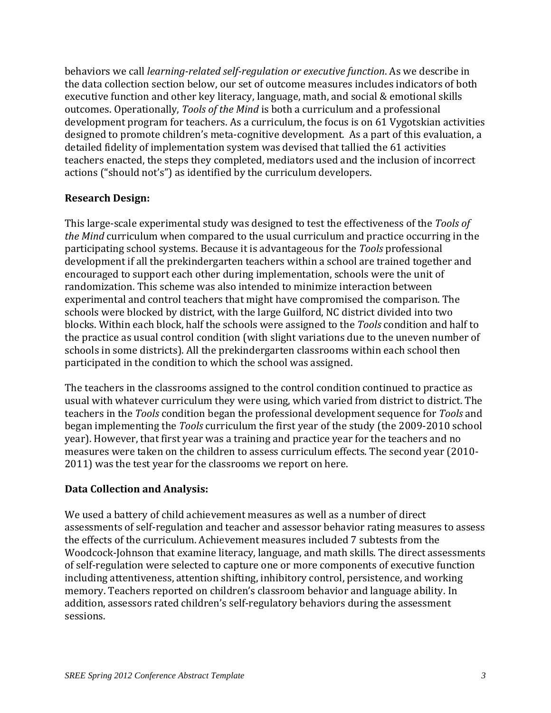behaviors we call *learning-related self-regulation or executive function*. As we describe in the data collection section below, our set of outcome measures includes indicators of both executive function and other key literacy, language, math, and social & emotional skills outcomes. Operationally, Tools of the Mind is both a curriculum and a professional development program for teachers. As a curriculum, the focus is on 61 Vygotskian activities designed to promote children's meta-cognitive development. As a part of this evaluation, a detailed fidelity of implementation system was devised that tallied the 61 activities teachers enacted, the steps they completed, mediators used and the inclusion of incorrect actions ("should not's") as identified by the curriculum developers.

#### **Research Design:**

This large-scale experimental study was designed to test the effectiveness of the Tools of the Mind curriculum when compared to the usual curriculum and practice occurring in the participating school systems. Because it is advantageous for the *Tools* professional development if all the prekindergarten teachers within a school are trained together and encouraged to support each other during implementation, schools were the unit of randomization. This scheme was also intended to minimize interaction between experimental and control teachers that might have compromised the comparison. The schools were blocked by district, with the large Guilford, NC district divided into two blocks. Within each block, half the schools were assigned to the Tools condition and half to the practice as usual control condition (with slight variations due to the uneven number of schools in some districts). All the prekindergarten classrooms within each school then participated in the condition to which the school was assigned.

The teachers in the classrooms assigned to the control condition continued to practice as usual with whatever curriculum they were using, which varied from district to district. The teachers in the Tools condition began the professional development sequence for Tools and began implementing the Tools curriculum the first year of the study (the 2009-2010 school year). However, that first year was a training and practice year for the teachers and no measures were taken on the children to assess curriculum effects. The second year (2010-2011) was the test year for the classrooms we report on here.

## **Data Collection and Analysis:**

We used a battery of child achievement measures as well as a number of direct assessments of self-regulation and teacher and assessor behavior rating measures to assess the effects of the curriculum. Achievement measures included 7 subtests from the Woodcock-Johnson that examine literacy, language, and math skills. The direct assessments of self-regulation were selected to capture one or more components of executive function including attentiveness, attention shifting, inhibitory control, persistence, and working memory. Teachers reported on children's classroom behavior and language ability. In addition, assessors rated children's self-regulatory behaviors during the assessment sessions.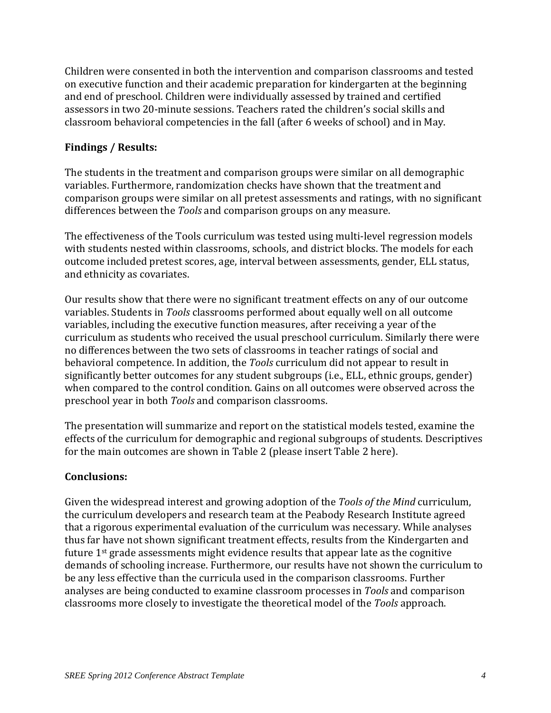Children were consented in both the intervention and comparison classrooms and tested on executive function and their academic preparation for kindergarten at the beginning and end of preschool. Children were individually assessed by trained and certified assessors in two 20-minute sessions. Teachers rated the children's social skills and classroom behavioral competencies in the fall (after 6 weeks of school) and in May.

## **Findings / Results:**

The students in the treatment and comparison groups were similar on all demographic variables. Furthermore, randomization checks have shown that the treatment and comparison groups were similar on all pretest assessments and ratings, with no significant differences between the *Tools* and comparison groups on any measure.

The effectiveness of the Tools curriculum was tested using multi-level regression models with students nested within classrooms, schools, and district blocks. The models for each outcome included pretest scores, age, interval between assessments, gender, ELL status, and ethnicity as covariates.

Our results show that there were no significant treatment effects on any of our outcome variables. Students in Tools classrooms performed about equally well on all outcome variables, including the executive function measures, after receiving a year of the curriculum as students who received the usual preschool curriculum. Similarly there were no differences between the two sets of classrooms in teacher ratings of social and behavioral competence. In addition, the *Tools* curriculum did not appear to result in significantly better outcomes for any student subgroups (i.e., ELL, ethnic groups, gender) when compared to the control condition. Gains on all outcomes were observed across the preschool year in both Tools and comparison classrooms.

The presentation will summarize and report on the statistical models tested, examine the effects of the curriculum for demographic and regional subgroups of students. Descriptives for the main outcomes are shown in Table 2 (please insert Table 2 here).

## **Conclusions:**

Given the widespread interest and growing adoption of the *Tools of the Mind* curriculum, the curriculum developers and research team at the Peabody Research Institute agreed that a rigorous experimental evaluation of the curriculum was necessary. While analyses thus far have not shown significant treatment effects, results from the Kindergarten and future 1<sup>st</sup> grade assessments might evidence results that appear late as the cognitive demands of schooling increase. Furthermore, our results have not shown the curriculum to be any less effective than the curricula used in the comparison classrooms. Further analyses are being conducted to examine classroom processes in Tools and comparison classrooms more closely to investigate the theoretical model of the Tools approach.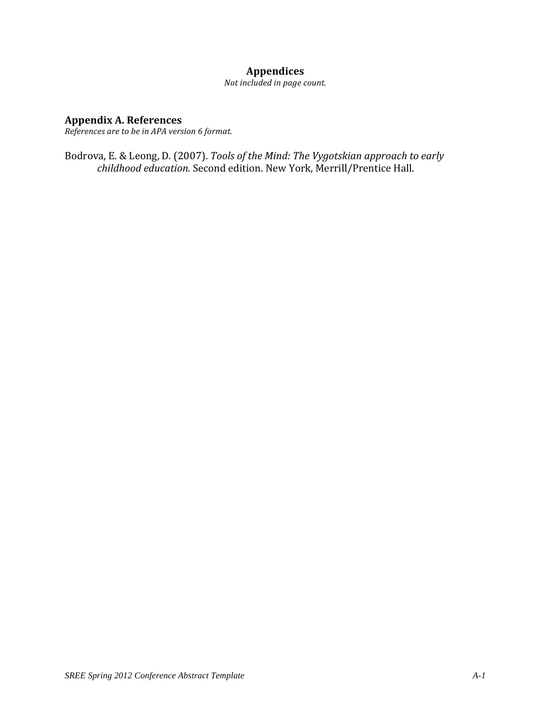## **Appendices**

Not included in page count.

#### **Appendix A. References**

References are to be in APA version 6 format.

Bodrova, E. & Leong, D. (2007). Tools of the Mind: The Vygotskian approach to early childhood education. Second edition. New York, Merrill/Prentice Hall.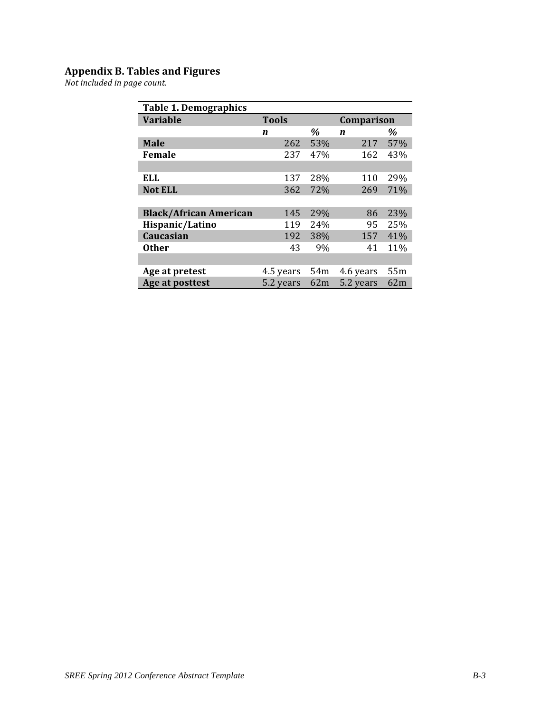# **Appendix B. Tables and Figures**<br>Not included in page count.

| <b>Table 1. Demographics</b>  |              |                 |                  |                 |  |  |  |  |  |  |
|-------------------------------|--------------|-----------------|------------------|-----------------|--|--|--|--|--|--|
| <b>Variable</b>               | <b>Tools</b> |                 | Comparison       |                 |  |  |  |  |  |  |
|                               | n            | $\%$            | $\boldsymbol{n}$ | %               |  |  |  |  |  |  |
| <b>Male</b>                   | 262          | 53%             | 217              | 57%             |  |  |  |  |  |  |
| Female                        | 237          | 47%             | 162              | 43%             |  |  |  |  |  |  |
|                               |              |                 |                  |                 |  |  |  |  |  |  |
| <b>ELL</b>                    | 137          | 28%             | 110              | 29%             |  |  |  |  |  |  |
| <b>Not ELL</b>                | 362          | 72%             | 269              | 71%             |  |  |  |  |  |  |
|                               |              |                 |                  |                 |  |  |  |  |  |  |
| <b>Black/African American</b> | 145          | 29%             | 86               | 23%             |  |  |  |  |  |  |
| Hispanic/Latino               | 119          | 24%             | 95               | 25%             |  |  |  |  |  |  |
| Caucasian                     | 192          | 38%             | 157              | 41%             |  |  |  |  |  |  |
| <b>Other</b>                  | 43           | 9%              | 41               | 11%             |  |  |  |  |  |  |
|                               |              |                 |                  |                 |  |  |  |  |  |  |
| Age at pretest                | 4.5 years    | 54 <sub>m</sub> | 4.6 years        | 55 <sub>m</sub> |  |  |  |  |  |  |
| Age at posttest               | 5.2 years    | 62m             | 5.2 years        | 62m             |  |  |  |  |  |  |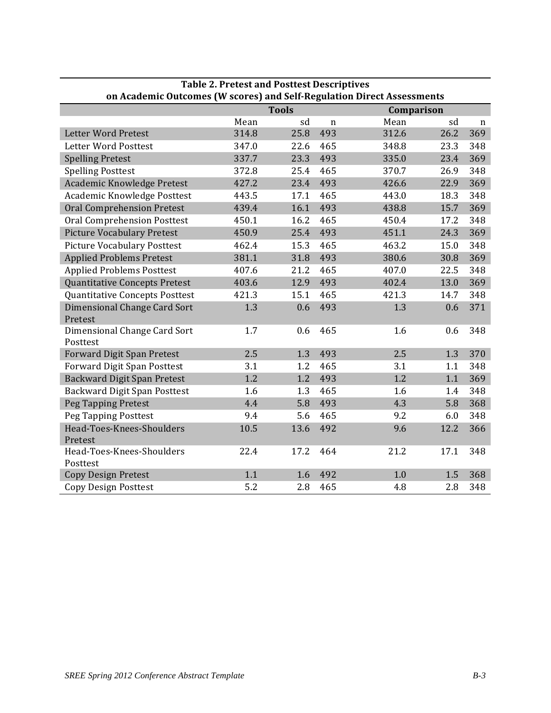| Table 2. Pretest and Postlest Descriptives<br>on Academic Outcomes (W scores) and Self-Regulation Direct Assessments |       |              |             |       |      |             |  |  |  |  |
|----------------------------------------------------------------------------------------------------------------------|-------|--------------|-------------|-------|------|-------------|--|--|--|--|
|                                                                                                                      |       | <b>Tools</b> | Comparison  |       |      |             |  |  |  |  |
|                                                                                                                      | Mean  | sd           | $\mathbf n$ | Mean  | sd   | $\mathbf n$ |  |  |  |  |
| Letter Word Pretest                                                                                                  | 314.8 | 25.8         | 493         | 312.6 | 26.2 | 369         |  |  |  |  |
| Letter Word Posttest                                                                                                 | 347.0 | 22.6         | 465         | 348.8 | 23.3 | 348         |  |  |  |  |
| <b>Spelling Pretest</b>                                                                                              | 337.7 | 23.3         | 493         | 335.0 | 23.4 | 369         |  |  |  |  |
| <b>Spelling Posttest</b>                                                                                             | 372.8 | 25.4         | 465         | 370.7 | 26.9 | 348         |  |  |  |  |
| Academic Knowledge Pretest                                                                                           | 427.2 | 23.4         | 493         | 426.6 | 22.9 | 369         |  |  |  |  |
| Academic Knowledge Posttest                                                                                          | 443.5 | 17.1         | 465         | 443.0 | 18.3 | 348         |  |  |  |  |
| <b>Oral Comprehension Pretest</b>                                                                                    | 439.4 | 16.1         | 493         | 438.8 | 15.7 | 369         |  |  |  |  |
| Oral Comprehension Posttest                                                                                          | 450.1 | 16.2         | 465         | 450.4 | 17.2 | 348         |  |  |  |  |
| <b>Picture Vocabulary Pretest</b>                                                                                    | 450.9 | 25.4         | 493         | 451.1 | 24.3 | 369         |  |  |  |  |
| <b>Picture Vocabulary Posttest</b>                                                                                   | 462.4 | 15.3         | 465         | 463.2 | 15.0 | 348         |  |  |  |  |
| <b>Applied Problems Pretest</b>                                                                                      | 381.1 | 31.8         | 493         | 380.6 | 30.8 | 369         |  |  |  |  |
| <b>Applied Problems Posttest</b>                                                                                     | 407.6 | 21.2         | 465         | 407.0 | 22.5 | 348         |  |  |  |  |
| Quantitative Concepts Pretest                                                                                        | 403.6 | 12.9         | 493         | 402.4 | 13.0 | 369         |  |  |  |  |
| <b>Quantitative Concepts Posttest</b>                                                                                | 421.3 | 15.1         | 465         | 421.3 | 14.7 | 348         |  |  |  |  |
| Dimensional Change Card Sort<br>Pretest                                                                              | 1.3   | 0.6          | 493         | 1.3   | 0.6  | 371         |  |  |  |  |
| Dimensional Change Card Sort<br>Posttest                                                                             | 1.7   | 0.6          | 465         | 1.6   | 0.6  | 348         |  |  |  |  |
| <b>Forward Digit Span Pretest</b>                                                                                    | 2.5   | 1.3          | 493         | 2.5   | 1.3  | 370         |  |  |  |  |
| <b>Forward Digit Span Posttest</b>                                                                                   | 3.1   | 1.2          | 465         | 3.1   | 1.1  | 348         |  |  |  |  |
| Backward Digit Span Pretest                                                                                          | 1.2   | 1.2          | 493         | 1.2   | 1.1  | 369         |  |  |  |  |
| Backward Digit Span Posttest                                                                                         | 1.6   | 1.3          | 465         | 1.6   | 1.4  | 348         |  |  |  |  |
| Peg Tapping Pretest                                                                                                  | 4.4   | 5.8          | 493         | 4.3   | 5.8  | 368         |  |  |  |  |
| Peg Tapping Posttest                                                                                                 | 9.4   | 5.6          | 465         | 9.2   | 6.0  | 348         |  |  |  |  |
| Head-Toes-Knees-Shoulders<br>Pretest                                                                                 | 10.5  | 13.6         | 492         | 9.6   | 12.2 | 366         |  |  |  |  |
| Head-Toes-Knees-Shoulders<br>Posttest                                                                                | 22.4  | 17.2         | 464         | 21.2  | 17.1 | 348         |  |  |  |  |
| <b>Copy Design Pretest</b>                                                                                           | 1.1   | 1.6          | 492         | 1.0   | 1.5  | 368         |  |  |  |  |
| <b>Copy Design Posttest</b>                                                                                          | 5.2   | 2.8          | 465         | 4.8   | 2.8  | 348         |  |  |  |  |

Toble 7 Dratect and Docttoct Decembrings